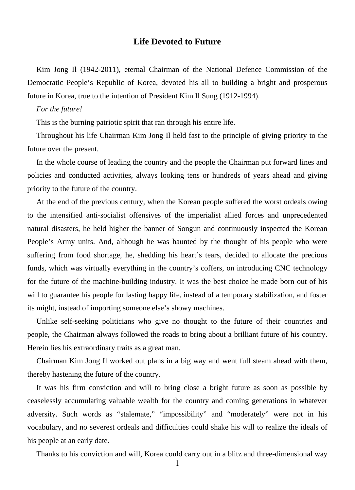## **Life Devoted to Future**

Kim Jong Il (1942-2011), eternal Chairman of the National Defence Commission of the Democratic People's Republic of Korea, devoted his all to building a bright and prosperous future in Korea, true to the intention of President Kim Il Sung (1912-1994).

## *For the future!*

This is the burning patriotic spirit that ran through his entire life.

Throughout his life Chairman Kim Jong Il held fast to the principle of giving priority to the future over the present.

In the whole course of leading the country and the people the Chairman put forward lines and policies and conducted activities, always looking tens or hundreds of years ahead and giving priority to the future of the country.

At the end of the previous century, when the Korean people suffered the worst ordeals owing to the intensified anti-socialist offensives of the imperialist allied forces and unprecedented natural disasters, he held higher the banner of Songun and continuously inspected the Korean People's Army units. And, although he was haunted by the thought of his people who were suffering from food shortage, he, shedding his heart's tears, decided to allocate the precious funds, which was virtually everything in the country's coffers, on introducing CNC technology for the future of the machine-building industry. It was the best choice he made born out of his will to guarantee his people for lasting happy life, instead of a temporary stabilization, and foster its might, instead of importing someone else's showy machines.

Unlike self-seeking politicians who give no thought to the future of their countries and people, the Chairman always followed the roads to bring about a brilliant future of his country. Herein lies his extraordinary traits as a great man.

Chairman Kim Jong Il worked out plans in a big way and went full steam ahead with them, thereby hastening the future of the country.

It was his firm conviction and will to bring close a bright future as soon as possible by ceaselessly accumulating valuable wealth for the country and coming generations in whatever adversity. Such words as "stalemate," "impossibility" and "moderately" were not in his vocabulary, and no severest ordeals and difficulties could shake his will to realize the ideals of his people at an early date.

Thanks to his conviction and will, Korea could carry out in a blitz and three-dimensional way